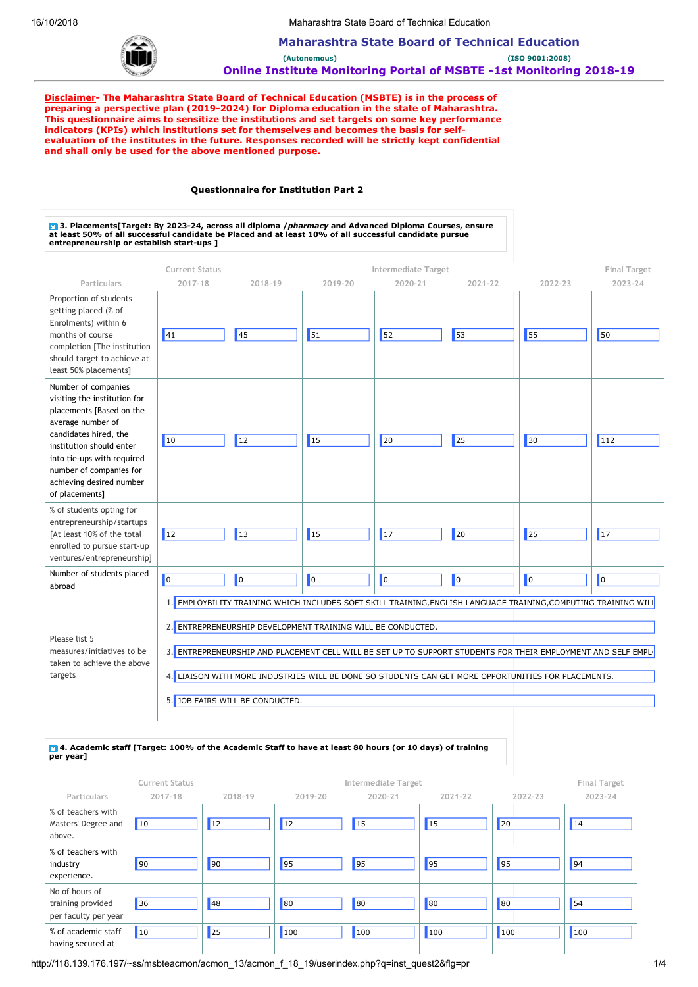

**Maharashtra State Board of Technical Education (Autonomous) (ISO 9001:2008) Online Institute Monitoring Portal of MSBTE -1st Monitoring 2018-19**

**Disclaimer- The Maharashtra State Board of Technical Education (MSBTE) is in the process of preparing a perspective plan (2019-2024) for Diploma education in the state of Maharashtra. This questionnaire aims to sensitize the institutions and set targets on some key performance indicators (KPIs) which institutions set for themselves and becomes the basis for selfevaluation of the institutes in the future. Responses recorded will be strictly kept confidential and shall only be used for the above mentioned purpose.** 

### **Questionnaire for Institution Part 2**

◘ 3. Placements[Target: By 2023-24, across all diploma */ pharmacy* and Advanced Diploma Courses, ensure<br>at least 50% of all successful candidate be Placed and at least 10% of all successful candidate pursue **entrepreneurship or establish start-ups ] Current Status Intermediate Target Final Target Particulars 2017-18 2018-19 2019-20 2020-21 2021-22 2022-23 2023-24** Proportion of students getting placed (% of Enrolments) within 6 months of course completion [The institution should target to achieve at least 50% placements] 41 45 51 52 53 55 50 Number of companies visiting the institution for placements [Based on the average number of candidates hired, the institution should enter into tie-ups with required number of companies for achieving desired number of placements] 10 |||12 |||15 |||20 |||25 |||30 |||112 % of students opting for entrepreneurship/startups [At least 10% of the total enrolled to pursue start-up ventures/entrepreneurship] 12 13 15 17 20 25 17 Number of students placed abroad 0 0 0 0 0 0 0 Please list 5 measures/initiatives to be taken to achieve the above targets 1. EMPLOYBILITY TRAINING WHICH INCLUDES SOFT SKILL TRAINING,ENGLISH LANGUAGE TRAINING,COMPUTING TRAINING WILL 2. ENTREPRENEURSHIP DEVELOPMENT TRAINING WILL BE CONDUCTED. 3. ENTREPRENEURSHIP AND PLACEMENT CELL WILL BE SET UP TO SUPPORT STUDENTS FOR THEIR EMPLOYMENT AND SELF EMPLO 4. LIAISON WITH MORE INDUSTRIES WILL BE DONE SO STUDENTS CAN GET MORE OPPORTUNITIES FOR PLACEMENTS. 5. JOB FAIRS WILL BE CONDUCTED.

### **4. Academic staff [Target: 100% of the Academic Staff to have at least 80 hours (or 10 days) of training per year]**

| <b>Current Status</b>                                       |            |           |            | Intermediate Target |         | <b>Final Target</b> |         |
|-------------------------------------------------------------|------------|-----------|------------|---------------------|---------|---------------------|---------|
| Particulars                                                 | 2017-18    | 2018-19   | 2019-20    | 2020-21             | 2021-22 | 2022-23             | 2023-24 |
| % of teachers with<br>Masters' Degree and<br>above.         | $\vert$ 10 | <b>12</b> | $\vert$ 12 | $\vert$ 15          | 15      | 20                  | 14      |
| % of teachers with<br>industry<br>experience.               | 90         | 90        | 95         | 95                  | 95      | 95                  | 94      |
| No of hours of<br>training provided<br>per faculty per year | 36         | 48        | 80         | 80                  | 80      | 80                  | 54      |
| % of academic staff<br>having secured at                    | $\vert$ 10 | 25        | 100        | 100                 | 100     | 100                 | 100     |

http://118.139.176.197/~ss/msbteacmon/acmon\_13/acmon\_f\_18\_19/userindex.php?q=inst\_quest2&flg=pr 1/4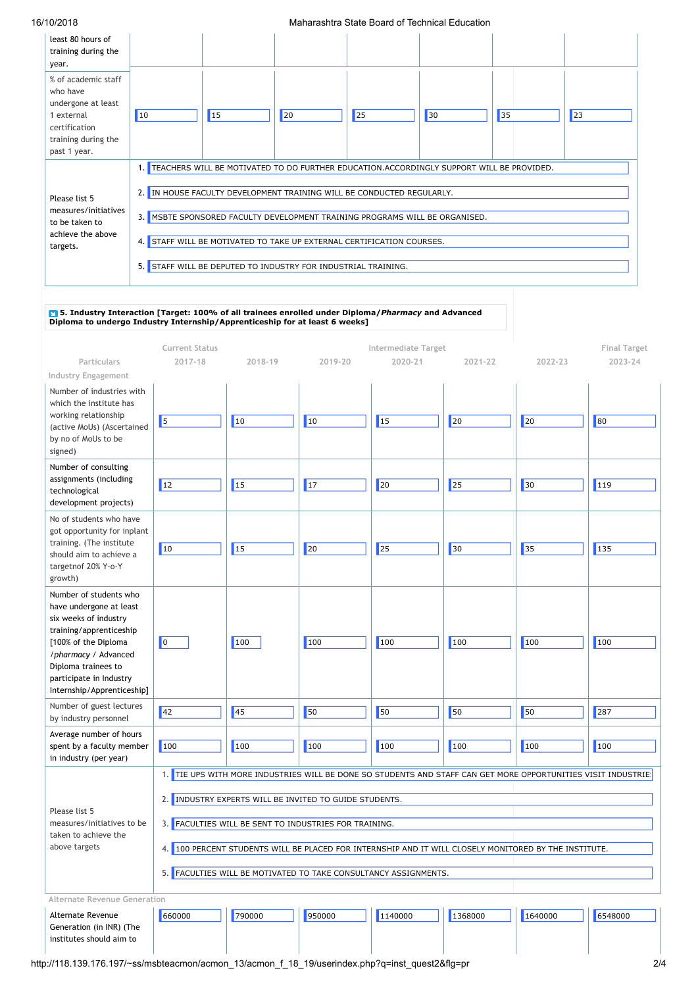| 1 U Z U 1 U                                                                                                                 | ivianalashtia Otato Doalu Ol Toomiical Luucation |                                                                                                                                                                                                                                                                                          |    |            |                                                                                          |    |    |
|-----------------------------------------------------------------------------------------------------------------------------|--------------------------------------------------|------------------------------------------------------------------------------------------------------------------------------------------------------------------------------------------------------------------------------------------------------------------------------------------|----|------------|------------------------------------------------------------------------------------------|----|----|
| least 80 hours of<br>training during the<br>year.                                                                           |                                                  |                                                                                                                                                                                                                                                                                          |    |            |                                                                                          |    |    |
| % of academic staff<br>who have<br>undergone at least<br>1 external<br>certification<br>training during the<br>past 1 year. | $ 10\rangle$                                     | <sup>15</sup>                                                                                                                                                                                                                                                                            | 20 | $\vert$ 25 | 30                                                                                       | 35 | 23 |
| Please list 5<br>measures/initiatives<br>to be taken to<br>achieve the above<br>targets.                                    | 1.1<br>2.1<br>3.1                                | IN HOUSE FACULTY DEVELOPMENT TRAINING WILL BE CONDUCTED REGULARLY.<br>MSBTE SPONSORED FACULTY DEVELOPMENT TRAINING PROGRAMS WILL BE ORGANISED.<br>4. STAFF WILL BE MOTIVATED TO TAKE UP EXTERNAL CERTIFICATION COURSES.<br>5. STAFF WILL BE DEPUTED TO INDUSTRY FOR INDUSTRIAL TRAINING. |    |            | TEACHERS WILL BE MOTIVATED TO DO FURTHER EDUCATION.ACCORDINGLY SUPPORT WILL BE PROVIDED. |    |    |

# **5. Industry Interaction [Target: 100% of all trainees enrolled under Diploma/***Pharmacy* **and Advanced Diploma to undergo Industry Internship/Apprenticeship for at least 6 weeks]**

|                                                                                                                                                                                                                                       | <b>Current Status</b>                                                                                                                                                                                                                                                                                                                                                                                         |         |           | Intermediate Target |         |         | <b>Final Target</b> |
|---------------------------------------------------------------------------------------------------------------------------------------------------------------------------------------------------------------------------------------|---------------------------------------------------------------------------------------------------------------------------------------------------------------------------------------------------------------------------------------------------------------------------------------------------------------------------------------------------------------------------------------------------------------|---------|-----------|---------------------|---------|---------|---------------------|
| Particulars                                                                                                                                                                                                                           | $2017 - 18$                                                                                                                                                                                                                                                                                                                                                                                                   | 2018-19 | 2019-20   | 2020-21             | 2021-22 | 2022-23 | 2023-24             |
| Industry Engagement                                                                                                                                                                                                                   |                                                                                                                                                                                                                                                                                                                                                                                                               |         |           |                     |         |         |                     |
| Number of industries with<br>which the institute has<br>working relationship<br>(active MoUs) (Ascertained<br>by no of MoUs to be<br>signed)                                                                                          | 5                                                                                                                                                                                                                                                                                                                                                                                                             | 10      | 10        | 15                  | 20      | 20      | 80                  |
| Number of consulting<br>assignments (including<br>technological<br>development projects)                                                                                                                                              | 12                                                                                                                                                                                                                                                                                                                                                                                                            | 15      | <b>17</b> | 20                  | 25      | 30      | 119                 |
| No of students who have<br>got opportunity for inplant<br>training. (The institute<br>should aim to achieve a<br>targetnof 20% Y-o-Y<br>growth)                                                                                       | 10                                                                                                                                                                                                                                                                                                                                                                                                            | 15      | 20        | 25                  | 30      | 35      | 135                 |
| Number of students who<br>have undergone at least<br>six weeks of industry<br>training/apprenticeship<br>[100% of the Diploma<br>/pharmacy / Advanced<br>Diploma trainees to<br>participate in Industry<br>Internship/Apprenticeship] | $\overline{\phantom{a}}$                                                                                                                                                                                                                                                                                                                                                                                      | 100     | 100       | 100                 | 100     | 100     | 100                 |
| Number of guest lectures<br>by industry personnel                                                                                                                                                                                     | $\vert$ 42                                                                                                                                                                                                                                                                                                                                                                                                    | 45      | 50        | 50                  | 50      | 50      | 287                 |
| Average number of hours<br>spent by a faculty member<br>in industry (per year)                                                                                                                                                        | 100                                                                                                                                                                                                                                                                                                                                                                                                           | 100     | 100       | 100                 | 100     | 100     | 100                 |
| Please list 5<br>measures/initiatives to be<br>taken to achieve the<br>above targets                                                                                                                                                  | 1. TIE UPS WITH MORE INDUSTRIES WILL BE DONE SO STUDENTS AND STAFF CAN GET MORE OPPORTUNITIES VISIT INDUSTRIE:<br>2. INDUSTRY EXPERTS WILL BE INVITED TO GUIDE STUDENTS.<br>3. FACULTIES WILL BE SENT TO INDUSTRIES FOR TRAINING.<br>4. 100 PERCENT STUDENTS WILL BE PLACED FOR INTERNSHIP AND IT WILL CLOSELY MONITORED BY THE INSTITUTE.<br>5. FACULTIES WILL BE MOTIVATED TO TAKE CONSULTANCY ASSIGNMENTS. |         |           |                     |         |         |                     |
| Alternate Revenue Generation                                                                                                                                                                                                          |                                                                                                                                                                                                                                                                                                                                                                                                               |         |           |                     |         |         |                     |
| Alternate Revenue<br>Generation (in INR) (The                                                                                                                                                                                         | 660000                                                                                                                                                                                                                                                                                                                                                                                                        | 790000  | 950000    | 1140000             | 1368000 | 1640000 | 6548000             |

institutes should aim to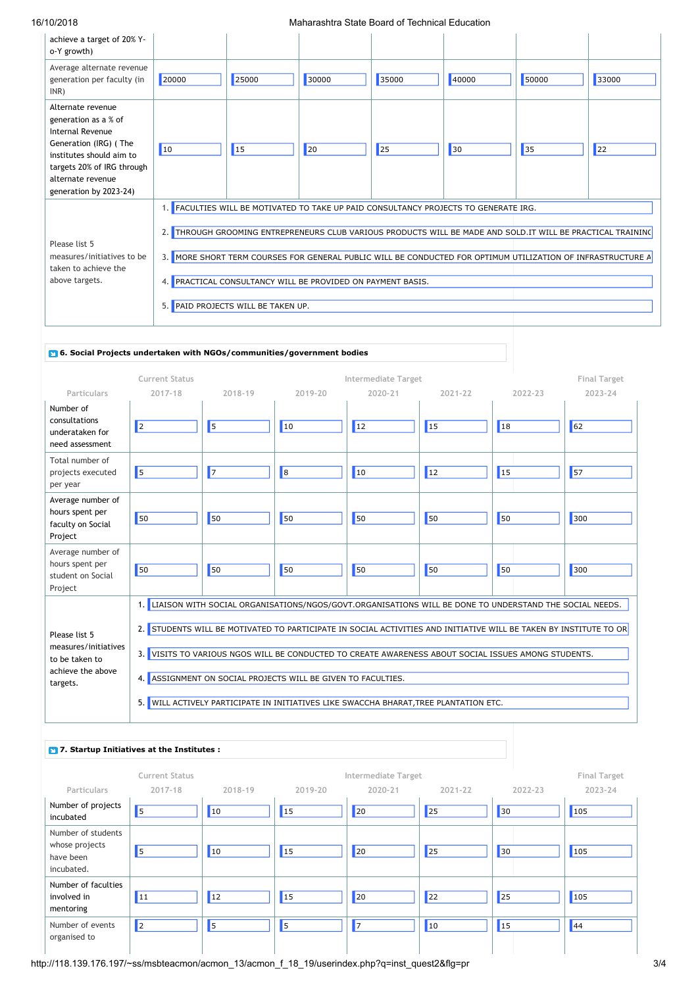| achieve a target of 20% Y-<br>o-Y growth)                                                                                                                                                       |            |                                                             |       |                                                                                                             |       |       |       |
|-------------------------------------------------------------------------------------------------------------------------------------------------------------------------------------------------|------------|-------------------------------------------------------------|-------|-------------------------------------------------------------------------------------------------------------|-------|-------|-------|
| Average alternate revenue<br>generation per faculty (in<br>INR)                                                                                                                                 | 20000      | 25000                                                       | 30000 | 35000                                                                                                       | 40000 | 50000 | 33000 |
| Alternate revenue<br>generation as a % of<br>Internal Revenue<br>Generation (IRG) (The<br>institutes should aim to<br>targets 20% of IRG through<br>alternate revenue<br>generation by 2023-24) | $\vert$ 10 | $\vert$ 15                                                  | 20    | 25                                                                                                          | 30    | 35    | 22    |
|                                                                                                                                                                                                 |            |                                                             |       | 1. FACULTIES WILL BE MOTIVATED TO TAKE UP PAID CONSULTANCY PROJECTS TO GENERATE IRG.                        |       |       |       |
| Please list 5                                                                                                                                                                                   |            |                                                             |       | 2. THROUGH GROOMING ENTREPRENEURS CLUB VARIOUS PRODUCTS WILL BE MADE AND SOLD.IT WILL BE PRACTICAL TRAINING |       |       |       |
| measures/initiatives to be<br>taken to achieve the                                                                                                                                              |            |                                                             |       | 3. MORE SHORT TERM COURSES FOR GENERAL PUBLIC WILL BE CONDUCTED FOR OPTIMUM UTILIZATION OF INFRASTRUCTURE A |       |       |       |
| above targets.                                                                                                                                                                                  |            | 4. PRACTICAL CONSULTANCY WILL BE PROVIDED ON PAYMENT BASIS. |       |                                                                                                             |       |       |       |
|                                                                                                                                                                                                 |            | 5. PAID PROJECTS WILL BE TAKEN UP.                          |       |                                                                                                             |       |       |       |
|                                                                                                                                                                                                 |            |                                                             |       |                                                                                                             |       |       |       |

### **6. Social Projects undertaken with NGOs/communities/government bodies**

|                                                                                          | <b>Current Status</b>                                                                                                                                                                                                                                                                                                                                                                                                                                                                                    |            |            | <b>Intermediate Target</b> |            |            |         |  |
|------------------------------------------------------------------------------------------|----------------------------------------------------------------------------------------------------------------------------------------------------------------------------------------------------------------------------------------------------------------------------------------------------------------------------------------------------------------------------------------------------------------------------------------------------------------------------------------------------------|------------|------------|----------------------------|------------|------------|---------|--|
| Particulars                                                                              | 2017-18                                                                                                                                                                                                                                                                                                                                                                                                                                                                                                  | 2018-19    | 2019-20    | 2020-21                    | 2021-22    | 2022-23    | 2023-24 |  |
| Number of<br>consultations<br>underataken for<br>need assessment                         | $\vert$ <sub>2</sub>                                                                                                                                                                                                                                                                                                                                                                                                                                                                                     | $\sqrt{5}$ | $\vert$ 10 | <b>12</b>                  | $\vert$ 15 | $\vert$ 18 | 62      |  |
| Total number of<br>projects executed<br>per year                                         | 5                                                                                                                                                                                                                                                                                                                                                                                                                                                                                                        | $\vert$ 7  | $\vert$ 8  | 10                         | 12         | $\vert$ 15 | 57      |  |
| Average number of<br>hours spent per<br>faculty on Social<br>Project                     | 50                                                                                                                                                                                                                                                                                                                                                                                                                                                                                                       | 50         | 50         | 50                         | 50         | 50         | 300     |  |
| Average number of<br>hours spent per<br>student on Social<br>Project                     | 50                                                                                                                                                                                                                                                                                                                                                                                                                                                                                                       | 50         | 50         | 50                         | 50         | 50         | 300     |  |
| Please list 5<br>measures/initiatives<br>to be taken to<br>achieve the above<br>targets. | LIAISON WITH SOCIAL ORGANISATIONS/NGOS/GOVT.ORGANISATIONS WILL BE DONE TO UNDERSTAND THE SOCIAL NEEDS.<br>1.1<br>STUDENTS WILL BE MOTIVATED TO PARTICIPATE IN SOCIAL ACTIVITIES AND INITIATIVE WILL BE TAKEN BY INSTITUTE TO OR<br>2.<br>3. VISITS TO VARIOUS NGOS WILL BE CONDUCTED TO CREATE AWARENESS ABOUT SOCIAL ISSUES AMONG STUDENTS.<br>4. ASSIGNMENT ON SOCIAL PROJECTS WILL BE GIVEN TO FACULTIES.<br>WILL ACTIVELY PARTICIPATE IN INITIATIVES LIKE SWACCHA BHARAT, TREE PLANTATION ETC.<br>5. |            |            |                            |            |            |         |  |

| <b>P</b> 7. Startup Initiatives at the Institutes :             |                       |            |         |                     |         |            |                     |
|-----------------------------------------------------------------|-----------------------|------------|---------|---------------------|---------|------------|---------------------|
|                                                                 | <b>Current Status</b> |            |         | Intermediate Target |         |            | <b>Final Target</b> |
| Particulars                                                     | 2017-18               | 2018-19    | 2019-20 | 2020-21             | 2021-22 | 2022-23    | 2023-24             |
| Number of projects<br>incubated                                 | 5                     | $\vert$ 10 | 15      | 20                  | 25      | 30         | 105                 |
| Number of students<br>whose projects<br>have been<br>incubated. | 5                     | $\vert$ 10 | 15      | 20                  | 25      | 30         | 105                 |
| Number of faculties<br>involved in<br>mentoring                 | <b>11</b>             | $\vert$ 12 | 15      | 20                  | 22      | 25         | 105                 |
| Number of events<br>organised to                                | $\vert$ <sub>2</sub>  | 5          | 5       | 17                  | 10      | $\vert$ 15 | 44                  |

http://118.139.176.197/~ss/msbteacmon/acmon\_13/acmon\_f\_18\_19/userindex.php?q=inst\_quest2&flg=pr 3/4